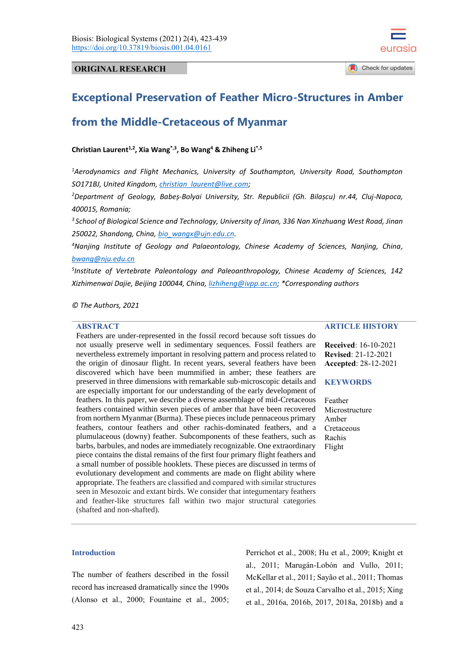

# **ORIGINAL RESEARCH**

# **Exceptional Preservation of Feather Micro-Structures in Amber**

# **from the Middle-Cretaceous of Myanmar**

**Christian Laurent1,2, Xia Wang\*,3, Bo Wang<sup>4</sup> & Zhiheng Li\*,5** 

*<sup>1</sup>Aerodynamics and Flight Mechanics, University of Southampton, University Road, Southampton SO171BJ, United Kingdom, [christian\\_laurent@live.com;](mailto:christian_laurent@live.com)*

*<sup>2</sup>Department of Geology, Babeș-Bolyai University, Str. Republicii (Gh. Bilașcu) nr.44, Cluj-Napoca, 400015, Romania;*

*<sup>3</sup>School of Biological Science and Technology, University of Jinan, 336 Nan Xinzhuang West Road, Jinan 250022, Shandong, China, [bio\\_wangx@ujn.edu.cn.](mailto:bio_wangx@ujn.edu.cn)*

*<sup>4</sup>Nanjing Institute of Geology and Palaeontology, Chinese Academy of Sciences, Nanjing, China, [bwang@nju.edu.cn](mailto:bwang@nju.edu.cn)*

*5 Institute of Vertebrate Paleontology and Paleoanthropology, Chinese Academy of Sciences, 142 Xizhimenwai Dajie, Beijing 100044, China[, lizhiheng@ivpp.ac.cn;](mailto:lizhiheng@ivpp.ac.cn) \*Corresponding authors*

*© The Authors, 2021*

# **ABSTRACT**

Feathers are under-represented in the fossil record because soft tissues do not usually preserve well in sedimentary sequences. Fossil feathers are nevertheless extremely important in resolving pattern and process related to the origin of dinosaur flight. In recent years, several feathers have been discovered which have been mummified in amber; these feathers are preserved in three dimensions with remarkable sub-microscopic details and are especially important for our understanding of the early development of feathers. In this paper, we describe a diverse assemblage of mid-Cretaceous feathers contained within seven pieces of amber that have been recovered from northern Myanmar (Burma). These pieces include pennaceous primary feathers, contour feathers and other rachis-dominated feathers, and a plumulaceous (downy) feather. Subcomponents of these feathers, such as barbs, barbules, and nodes are immediately recognizable. One extraordinary piece contains the distal remains of the first four primary flight feathers and a small number of possible hooklets. These pieces are discussed in terms of evolutionary development and comments are made on flight ability where appropriate. The feathers are classified and compared with similar structures seen in Mesozoic and extant birds. We consider that integumentary feathers and feather-like structures fall within two major structural categories (shafted and non-shafted).

# **ARTICLE HISTORY**

**Received**: 16-10-2021 **Revised**: 21-12-2021 **Accepted**: 28-12-2021

#### **KEYWORDS**

Feather Microstructure Amber Cretaceous Rachis Flight

## **Introduction**

The number of feathers described in the fossil record has increased dramatically since the 1990s (Alonso et al., 2000; Fountaine et al., 2005; Perrichot et al., 2008; Hu et al., 2009; Knight et al., 2011; Marugán-Lobón and Vullo, 2011; McKellar et al., 2011; Sayão et al., 2011; Thomas et al., 2014; de Souza Carvalho et al., 2015; Xing et al., 2016a, 2016b, 2017, 2018a, 2018b) and a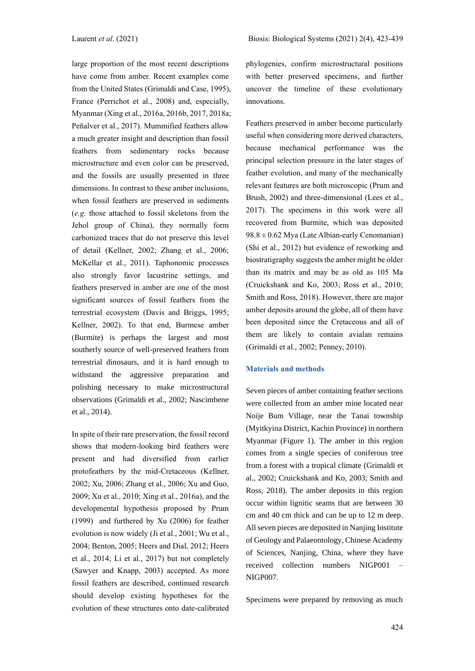large proportion of the most recent descriptions have come from amber. Recent examples come from the United States (Grimaldi and Case, 1995), France (Perrichot et al., 2008) and, especially, Myanmar (Xing et al., 2016a, 2016b, 2017, 2018a; Peñalver et al., 2017). Mummified feathers allow a much greater insight and description than fossil feathers from sedimentary rocks because microstructure and even color can be preserved, and the fossils are usually presented in three dimensions. In contrast to these amber inclusions, when fossil feathers are preserved in sediments (*e.g.* those attached to fossil skeletons from the Jehol group of China), they normally form carbonized traces that do not preserve this level of detail (Kellner, 2002; Zhang et al., 2006; McKellar et al., 2011). Taphonomic processes also strongly favor lacustrine settings, and feathers preserved in amber are one of the most significant sources of fossil feathers from the terrestrial ecosystem (Davis and Briggs, 1995; Kellner, 2002). To that end, Burmese amber (Burmite) is perhaps the largest and most southerly source of well-preserved feathers from terrestrial dinosaurs, and it is hard enough to withstand the aggressive preparation and polishing necessary to make microstructural observations (Grimaldi et al., 2002; Nascimbene et al., 2014).

In spite of their rare preservation, the fossil record shows that modern-looking bird feathers were present and had diversified from earlier protofeathers by the mid-Cretaceous (Kellner, 2002; Xu, 2006; Zhang et al., 2006; Xu and Guo, 2009; Xu et al., 2010; Xing et al., 2016a), and the developmental hypothesis proposed by Prum (1999) and furthered by Xu (2006) for feather evolution is now widely (Ji et al., 2001; Wu et al., 2004; Benton, 2005; Heers and Dial, 2012; Heers et al., 2014; Li et al., 2017) but not completely (Sawyer and Knapp, 2003) accepted. As more fossil feathers are described, continued research should develop existing hypotheses for the evolution of these structures onto date-calibrated

phylogenies, confirm microstructural positions with better preserved specimens, and further uncover the timeline of these evolutionary innovations.

Feathers preserved in amber become particularly useful when considering more derived characters, because mechanical performance was the principal selection pressure in the later stages of feather evolution, and many of the mechanically relevant features are both microscopic (Prum and Brush, 2002) and three-dimensional (Lees et al., 2017). The specimens in this work were all recovered from Burmite, which was deposited  $98.8 \pm 0.62$  Mya (Late Albian-early Cenomanian) (Shi et al., 2012) but evidence of reworking and biostratigraphy suggests the amber might be older than its matrix and may be as old as 105 Ma (Cruickshank and Ko, 2003; Ross et al., 2010; Smith and Ross, 2018). However, there are major amber deposits around the globe, all of them have been deposited since the Cretaceous and all of them are likely to contain avialan remains (Grimaldi et al., 2002; Penney, 2010).

#### **Materials and methods**

Seven pieces of amber containing feather sections were collected from an amber mine located near Noije Bum Village, near the Tanai township (Myitkyina District, Kachin Province) in northern Myanmar (Figure 1). The amber in this region comes from a single species of coniferous tree from a forest with a tropical climate (Grimaldi et al., 2002; Cruickshank and Ko, 2003; Smith and Ross, 2018). The amber deposits in this region occur within lignitic seams that are between 30 cm and 40 cm thick and can be up to 12 m deep. All seven pieces are deposited in Nanjing Institute of Geology and Palaeontology, Chinese Academy of Sciences, Nanjing, China, where they have received collection numbers NIGP001 – NIGP007.

Specimens were prepared by removing as much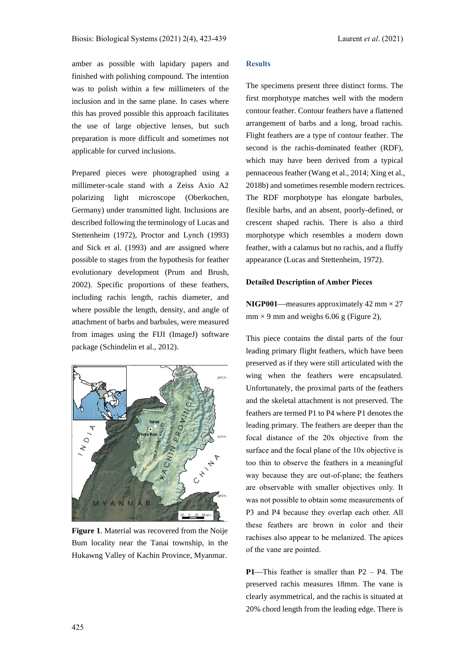amber as possible with lapidary papers and finished with polishing compound. The intention was to polish within a few millimeters of the inclusion and in the same plane. In cases where this has proved possible this approach facilitates the use of large objective lenses, but such preparation is more difficult and sometimes not applicable for curved inclusions.

Prepared pieces were photographed using a millimeter-scale stand with a Zeiss Axio A2 polarizing light microscope (Oberkochen, Germany) under transmitted light. Inclusions are described following the terminology of Lucas and Stettenheim (1972), Proctor and Lynch (1993) and Sick et al. (1993) and are assigned where possible to stages from the hypothesis for feather evolutionary development (Prum and Brush, 2002). Specific proportions of these feathers, including rachis length, rachis diameter, and where possible the length, density, and angle of attachment of barbs and barbules, were measured from images using the FIJI (ImageJ) software package (Schindelin et al., 2012).

# 28°CN -P<sub>RO</sub>  $'$ ANMA M  $\overline{R}$ 25 0 25 50 km

**Figure 1**. Material was recovered from the Noije Bum locality near the Tanai township, in the Hukawng Valley of Kachin Province, Myanmar.

# **Results**

The specimens present three distinct forms. The first morphotype matches well with the modern contour feather. Contour feathers have a flattened arrangement of barbs and a long, broad rachis. Flight feathers are a type of contour feather. The second is the rachis-dominated feather (RDF), which may have been derived from a typical pennaceous feather (Wang et al., 2014; Xing et al., 2018b) and sometimes resemble modern rectrices. The RDF morphotype has elongate barbules, flexible barbs, and an absent, poorly-defined, or crescent shaped rachis. There is also a third morphotype which resembles a modern down feather, with a calamus but no rachis, and a fluffy appearance (Lucas and Stettenheim, 1972).

# **Detailed Description of Amber Pieces**

**NIGP001**—measures approximately 42 mm  $\times$  27  $mm \times 9$  mm and weighs 6.06 g (Figure 2),

This piece contains the distal parts of the four leading primary flight feathers, which have been preserved as if they were still articulated with the wing when the feathers were encapsulated. Unfortunately, the proximal parts of the feathers and the skeletal attachment is not preserved. The feathers are termed P1 to P4 where P1 denotes the leading primary. The feathers are deeper than the focal distance of the 20x objective from the surface and the focal plane of the 10x objective is too thin to observe the feathers in a meaningful way because they are out-of-plane; the feathers are observable with smaller objectives only. It was not possible to obtain some measurements of P3 and P4 because they overlap each other. All these feathers are brown in color and their rachises also appear to be melanized. The apices of the vane are pointed.

**P1—This feather is smaller than**  $P2 - P4$ **. The** preserved rachis measures 18mm. The vane is clearly asymmetrical, and the rachis is situated at 20% chord length from the leading edge. There is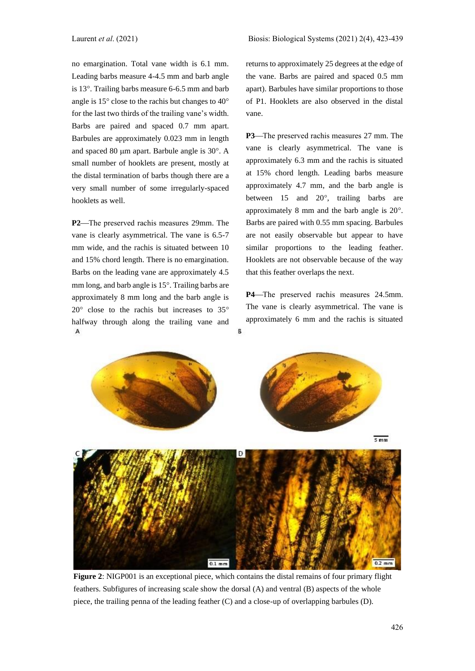no emargination. Total vane width is 6.1 mm. Leading barbs measure 4-4.5 mm and barb angle is  $13^\circ$ . Trailing barbs measure 6-6.5 mm and barb angle is  $15^{\circ}$  close to the rachis but changes to  $40^{\circ}$ for the last two thirds of the trailing vane's width. Barbs are paired and spaced 0.7 mm apart. Barbules are approximately 0.023 mm in length and spaced 80  $\mu$ m apart. Barbule angle is 30 $^{\circ}$ . A small number of hooklets are present, mostly at the distal termination of barbs though there are a very small number of some irregularly-spaced hooklets as well.

**P2**—The preserved rachis measures 29mm. The vane is clearly asymmetrical. The vane is 6.5-7 mm wide, and the rachis is situated between 10 and 15% chord length. There is no emargination. Barbs on the leading vane are approximately 4.5 mm long, and barb angle is  $15^\circ$ . Trailing barbs are approximately 8 mm long and the barb angle is  $20^{\circ}$  close to the rachis but increases to  $35^{\circ}$ halfway through along the trailing vane and A

returns to approximately 25 degrees at the edge of the vane. Barbs are paired and spaced 0.5 mm apart). Barbules have similar proportions to those of P1. Hooklets are also observed in the distal vane.

**P3**—The preserved rachis measures 27 mm. The vane is clearly asymmetrical. The vane is approximately 6.3 mm and the rachis is situated at 15% chord length. Leading barbs measure approximately 4.7 mm, and the barb angle is between  $15$  and  $20^{\circ}$ , trailing barbs are approximately 8 mm and the barb angle is  $20^\circ$ . Barbs are paired with 0.55 mm spacing. Barbules are not easily observable but appear to have similar proportions to the leading feather. Hooklets are not observable because of the way that this feather overlaps the next.

**P4**—The preserved rachis measures 24.5mm. The vane is clearly asymmetrical. The vane is approximately 6 mm and the rachis is situated



R

**Figure 2**: NIGP001 is an exceptional piece, which contains the distal remains of four primary flight feathers. Subfigures of increasing scale show the dorsal (A) and ventral (B) aspects of the whole piece, the trailing penna of the leading feather (C) and a close-up of overlapping barbules (D).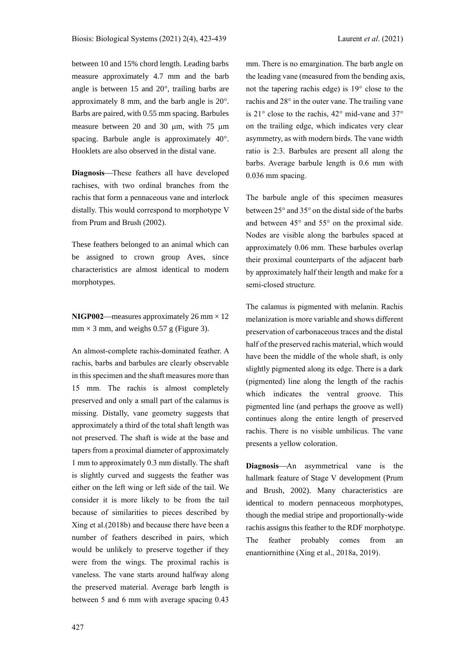between 10 and 15% chord length. Leading barbs measure approximately 4.7 mm and the barb angle is between  $15$  and  $20^{\circ}$ , trailing barbs are approximately 8 mm, and the barb angle is  $20^\circ$ . Barbs are paired, with 0.55 mm spacing. Barbules measure between 20 and 30  $\mu$ m, with 75  $\mu$ m spacing. Barbule angle is approximately  $40^{\circ}$ . Hooklets are also observed in the distal vane.

**Diagnosis**—These feathers all have developed rachises, with two ordinal branches from the rachis that form a pennaceous vane and interlock distally. This would correspond to morphotype V from Prum and Brush (2002).

These feathers belonged to an animal which can be assigned to crown group Aves, since characteristics are almost identical to modern morphotypes.

**NIGP002**—measures approximately 26 mm  $\times$  12  $mm \times 3 mm$ , and weighs 0.57 g (Figure 3).

An almost-complete rachis-dominated feather. A rachis, barbs and barbules are clearly observable in this specimen and the shaft measures more than 15 mm. The rachis is almost completely preserved and only a small part of the calamus is missing. Distally, vane geometry suggests that approximately a third of the total shaft length was not preserved. The shaft is wide at the base and tapers from a proximal diameter of approximately 1 mm to approximately 0.3 mm distally. The shaft is slightly curved and suggests the feather was either on the left wing or left side of the tail. We consider it is more likely to be from the tail because of similarities to pieces described by Xing et al.(2018b) and because there have been a number of feathers described in pairs, which would be unlikely to preserve together if they were from the wings. The proximal rachis is vaneless. The vane starts around halfway along the preserved material. Average barb length is between 5 and 6 mm with average spacing 0.43

mm. There is no emargination. The barb angle on the leading vane (measured from the bending axis, not the tapering rachis edge) is  $19^{\circ}$  close to the rachis and  $28^\circ$  in the outer vane. The trailing vane is  $21^\circ$  close to the rachis,  $42^\circ$  mid-vane and  $37^\circ$ on the trailing edge, which indicates very clear asymmetry, as with modern birds. The vane width ratio is 2:3. Barbules are present all along the barbs. Average barbule length is 0.6 mm with 0.036 mm spacing.

The barbule angle of this specimen measures between  $25^{\circ}$  and  $35^{\circ}$  on the distal side of the barbs and between  $45^{\circ}$  and  $55^{\circ}$  on the proximal side. Nodes are visible along the barbules spaced at approximately 0.06 mm. These barbules overlap their proximal counterparts of the adjacent barb by approximately half their length and make for a semi-closed structure.

The calamus is pigmented with melanin. Rachis melanization is more variable and shows different preservation of carbonaceous traces and the distal half of the preserved rachis material, which would have been the middle of the whole shaft, is only slightly pigmented along its edge. There is a dark (pigmented) line along the length of the rachis which indicates the ventral groove. This pigmented line (and perhaps the groove as well) continues along the entire length of preserved rachis. There is no visible umbilicus. The vane presents a yellow coloration.

**Diagnosis**—An asymmetrical vane is the hallmark feature of Stage V development (Prum and Brush, 2002). Many characteristics are identical to modern pennaceous morphotypes, though the medial stripe and proportionally-wide rachis assigns this feather to the RDF morphotype. The feather probably comes from an enantiornithine (Xing et al., 2018a, 2019).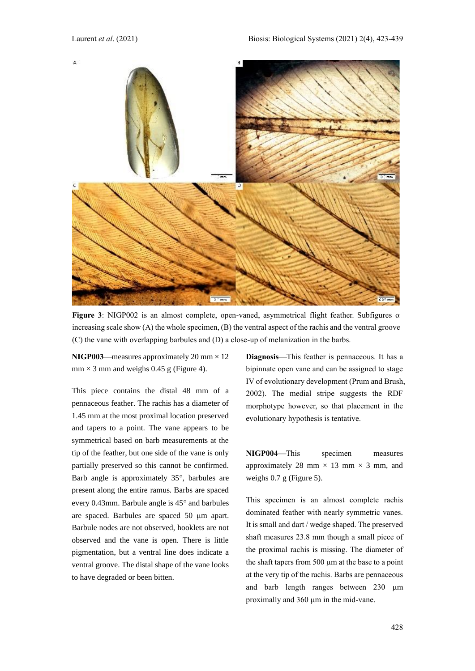

Figure 3: NIGP002 is an almost complete, open-vaned, asymmetrical flight feather. Subfigures of increasing scale show  $(A)$  the whole specimen,  $(B)$  the ventral aspect of the rachis and the ventral groove (C) the vane with overlapping barbules and (D) a close-up of melanization in the barbs.

**NIGP003**—measures approximately  $20 \text{ mm} \times 12$  $mm \times 3 mm$  and weighs 0.45 g (Figure 4).

This piece contains the distal 48 mm of a pennaceous feather. The rachis has a diameter of 1.45 mm at the most proximal location preserved and tapers to a point. The vane appears to be symmetrical based on barb measurements at the tip of the feather, but one side of the vane is only partially preserved so this cannot be confirmed. Barb angle is approximately  $35^{\circ}$ , barbules are present along the entire ramus. Barbs are spaced every 0.43mm. Barbule angle is  $45^{\circ}$  and barbules are spaced. Barbules are spaced 50 µm apart. Barbule nodes are not observed, hooklets are not observed and the vane is open. There is little pigmentation, but a ventral line does indicate a ventral groove. The distal shape of the vane looks to have degraded or been bitten.

**Diagnosis**—This feather is pennaceous. It has a bipinnate open vane and can be assigned to stage IV of evolutionary development (Prum and Brush, 2002). The medial stripe suggests the RDF morphotype however, so that placement in the evolutionary hypothesis is tentative.

**NIGP004**—This specimen measures approximately 28 mm  $\times$  13 mm  $\times$  3 mm, and weighs 0.7 g (Figure 5).

This specimen is an almost complete rachis dominated feather with nearly symmetric vanes. It is small and dart / wedge shaped. The preserved shaft measures 23.8 mm though a small piece of the proximal rachis is missing. The diameter of the shaft tapers from  $500 \mu m$  at the base to a point at the very tip of the rachis. Barbs are pennaceous and barb length ranges between 230 µm proximally and 360 um in the mid-vane.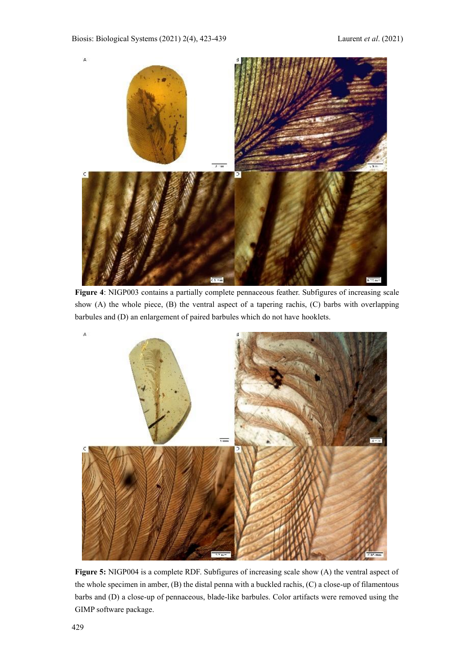

**Figure 4**: NIGP003 contains a partially complete pennaceous feather. Subfigures of increasing scale show (A) the whole piece, (B) the ventral aspect of a tapering rachis, (C) barbs with overlapping barbules and (D) an enlargement of paired barbules which do not have hooklets.



**Figure 5:** NIGP004 is a complete RDF. Subfigures of increasing scale show (A) the ventral aspect of the whole specimen in amber, (B) the distal penna with a buckled rachis, (C) a close-up of filamentous barbs and (D) a close-up of pennaceous, blade-like barbules. Color artifacts were removed using the GIMP software package.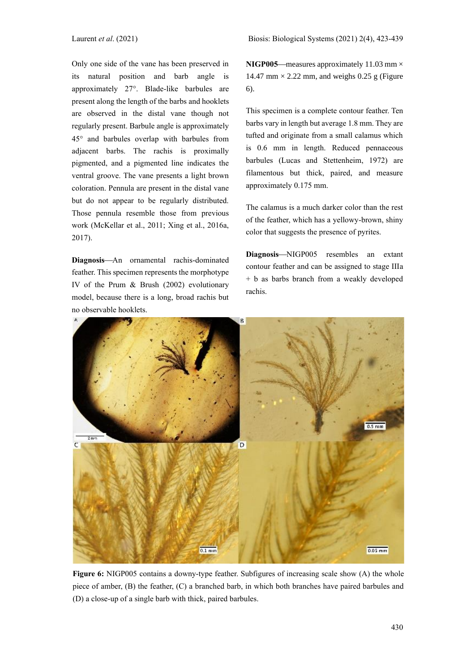Laurent *et al*. (2021) Biosis: Biological Systems (2021) 2(4), 423-439

Only one side of the vane has been preserved in its natural position and barb angle is approximately 27°. Blade-like barbules are present along the length of the barbs and hooklets are observed in the distal vane though not regularly present. Barbule angle is approximately  $45^\circ$  and barbules overlap with barbules from adjacent barbs. The rachis is proximally pigmented, and a pigmented line indicates the ventral groove. The vane presents a light brown coloration. Pennula are present in the distal vane but do not appear to be regularly distributed. Those pennula resemble those from previous work (McKellar et al., 2011; Xing et al., 2016a, 2017).

**Diagnosis**—An ornamental rachis-dominated feather. This specimen represents the morphotype IV of the Prum & Brush (2002) evolutionary model, because there is a long, broad rachis but no observable hooklets.

**NIGP005**—measures approximately 11.03 mm  $\times$ 14.47 mm  $\times$  2.22 mm, and weighs 0.25 g (Figure 6).

This specimen is a complete contour feather. Ten barbs vary in length but average 1.8 mm. They are tufted and originate from a small calamus which is 0.6 mm in length. Reduced pennaceous barbules (Lucas and Stettenheim, 1972) are filamentous but thick, paired, and measure approximately 0.175 mm.

The calamus is a much darker color than the rest of the feather, which has a yellowy-brown, shiny color that suggests the presence of pyrites.

Diagnosis-NIGP005 resembles an extant contour feather and can be assigned to stage IIIa + b as barbs branch from a weakly developed rachis.



**Figure 6:** NIGP005 contains a downy-type feather. Subfigures of increasing scale show (A) the whole piece of amber, (B) the feather, (C) a branched barb, in which both branches have paired barbules and (D) a close-up of a single barb with thick, paired barbules.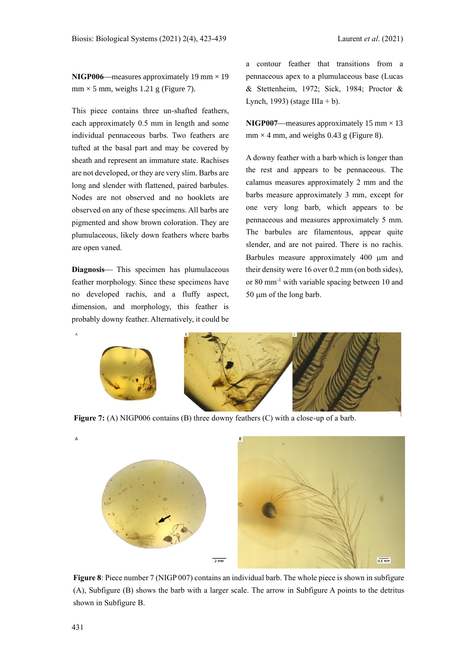**NIGP006**—measures approximately 19 mm  $\times$  19  $mm \times 5 mm$ , weighs 1.21 g (Figure 7).

This piece contains three un-shafted feathers, each approximately 0.5 mm in length and some individual pennaceous barbs. Two feathers are tufted at the basal part and may be covered by sheath and represent an immature state. Rachises are not developed, or they are very slim. Barbs are long and slender with flattened, paired barbules. Nodes are not observed and no hooklets are observed on any of these specimens. All barbs are pigmented and show brown coloration. They are plumulaceous, likely down feathers where barbs are open vaned.

**Diagnosis**— This specimen has plumulaceous feather morphology. Since these specimens have no developed rachis, and a fluffy aspect, dimension, and morphology, this feather is probably downy feather. Alternatively, it could be

a contour feather that transitions from a pennaceous apex to a plumulaceous base (Lucas & Stettenheim, 1972; Sick, 1984; Proctor & Lynch, 1993) (stage IIIa + b).

**NIGP007**—measures approximately 15 mm  $\times$  13  $mm \times 4 mm$ , and weighs 0.43 g (Figure 8).

A downy feather with a barb which is longer than the rest and appears to be pennaceous. The calamus measures approximately 2 mm and the barbs measure approximately 3 mm, except for one very long barb, which appears to be pennaceous and measures approximately 5 mm. The barbules are filamentous, appear quite slender, and are not paired. There is no rachis. Barbules measure approximately 400 µm and their density were 16 over 0.2 mm (on both sides), or 80 mm-1 with variable spacing between 10 and  $50 \mu m$  of the long barb.



**Figure 7:** (A) NIGP006 contains (B) three downy feathers (C) with a close-up of a barb.



**Figure 8**: Piece number 7 (NIGP 007) contains an individual barb. The whole piece is shown in subfigure (A), Subfigure (B) shows the barb with a larger scale. The arrow in Subfigure A points to the detritus shown in Subfigure B.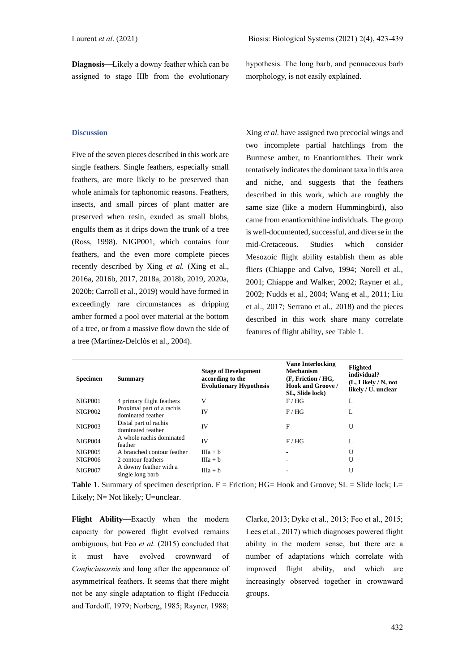hypothesis. The long barb, and pennaceous barb morphology, is not easily explained.

# **Discussion**

Five of the seven pieces described in this work are single feathers. Single feathers, especially small feathers, are more likely to be preserved than whole animals for taphonomic reasons. Feathers, insects, and small pirces of plant matter are preserved when resin, exuded as small blobs, engulfs them as it drips down the trunk of a tree (Ross, 1998). NIGP001, which contains four feathers, and the even more complete pieces recently described by Xing *et al.* (Xing et al., 2016a, 2016b, 2017, 2018a, 2018b, 2019, 2020a, 2020b; Carroll et al., 2019) would have formed in exceedingly rare circumstances as dripping amber formed a pool over material at the bottom of a tree, or from a massive flow down the side of a tree (Martínez-Delclòs et al., 2004).

Xing *et al.* have assigned two precocial wings and two incomplete partial hatchlings from the Burmese amber, to Enantiornithes. Their work tentatively indicates the dominant taxa in this area and niche, and suggests that the feathers described in this work, which are roughly the same size (like a modern Hummingbird), also came from enantiornithine individuals. The group is well-documented, successful, and diverse in the mid-Cretaceous. Studies which consider Mesozoic flight ability establish them as able fliers (Chiappe and Calvo, 1994; Norell et al., 2001; Chiappe and Walker, 2002; Rayner et al., 2002; Nudds et al., 2004; Wang et al., 2011; Liu et al., 2017; Serrano et al., 2018) and the pieces described in this work share many correlate features of flight ability, see Table 1.

| <b>Specimen</b> | <b>Summary</b>                                 | <b>Stage of Development</b><br>according to the<br><b>Evolutionary Hypothesis</b> | <b>Vane Interlocking</b><br><b>Mechanism</b><br>(F, Friction / HG,<br><b>Hook and Groove</b> /<br>SL, Slide lock) | <b>Flighted</b><br>individual?<br>(L, Likely / N, not<br>likely / U, unclear |
|-----------------|------------------------------------------------|-----------------------------------------------------------------------------------|-------------------------------------------------------------------------------------------------------------------|------------------------------------------------------------------------------|
| NIGP001         | 4 primary flight feathers                      | V                                                                                 | F/HG                                                                                                              |                                                                              |
| <b>NIGP002</b>  | Proximal part of a rachis<br>dominated feather | <b>IV</b>                                                                         | F/HG                                                                                                              | L                                                                            |
| <b>NIGP003</b>  | Distal part of rachis<br>dominated feather     | IV                                                                                | F                                                                                                                 | U                                                                            |
| <b>NIGP004</b>  | A whole rachis dominated<br>feather            | IV                                                                                | F/HG                                                                                                              | L                                                                            |
| NIGP005         | A branched contour feather                     | $IIIa + b$                                                                        |                                                                                                                   | U                                                                            |
| NIGP006         | 2 contour feathers                             | $IIIa + b$                                                                        |                                                                                                                   | U                                                                            |
| <b>NIGP007</b>  | A downy feather with a<br>single long barb     | $IIIa + b$                                                                        |                                                                                                                   | U                                                                            |

**Table 1.** Summary of specimen description. F = Friction: HG= Hook and Groove: SL = Slide lock: L= Likely: N= Not likely: U=unclear.

**Flight Ability**—Exactly when the modern capacity for powered flight evolved remains ambiguous, but Feo et al. (2015) concluded that it must have evolved crownward of *Confuciusornis* and long after the appearance of asymmetrical feathers. It seems that there might not be any single adaptation to flight (Feduccia and Tordoff, 1979; Norberg, 1985; Rayner, 1988;

Clarke, 2013; Dyke et al., 2013; Feo et al., 2015; Lees et al., 2017) which diagnoses powered flight ability in the modern sense, but there are a number of adaptations which correlate with improved flight ability, and which are increasingly observed together in crownward groups.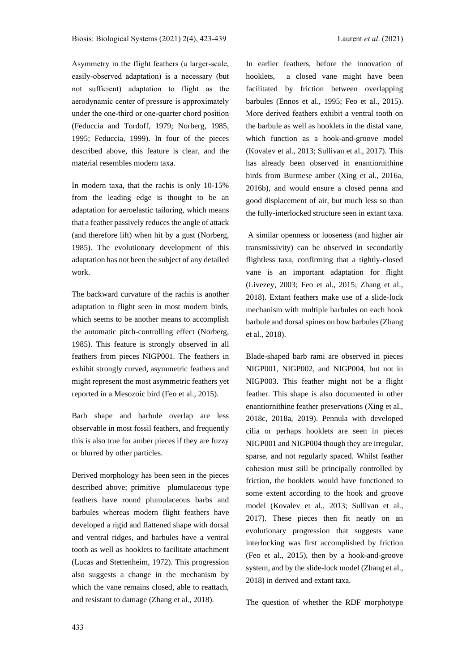Asymmetry in the flight feathers (a larger-scale, easily-observed adaptation) is a necessary (but not sufficient) adaptation to flight as the aerodynamic center of pressure is approximately under the one-third or one-quarter chord position (Feduccia and Tordoff, 1979; Norberg, 1985, 1995; Feduccia, 1999). In four of the pieces described above, this feature is clear, and the material resembles modern taxa.

In modern taxa, that the rachis is only 10-15% from the leading edge is thought to be an adaptation for aeroelastic tailoring, which means that a feather passively reduces the angle of attack (and therefore lift) when hit by a gust (Norberg, 1985). The evolutionary development of this adaptation has not been the subject of any detailed work.

The backward curvature of the rachis is another adaptation to flight seen in most modern birds, which seems to be another means to accomplish the automatic pitch-controlling effect (Norberg, 1985). This feature is strongly observed in all feathers from pieces NIGP001. The feathers in exhibit strongly curved, asymmetric feathers and might represent the most asymmetric feathers yet reported in a Mesozoic bird (Feo et al., 2015).

Barb shape and barbule overlap are less observable in most fossil feathers, and frequently this is also true for amber pieces if they are fuzzy or blurred by other particles.

Derived morphology has been seen in the pieces described above; primitive plumulaceous type feathers have round plumulaceous barbs and barbules whereas modern flight feathers have developed a rigid and flattened shape with dorsal and ventral ridges, and barbules have a ventral tooth as well as hooklets to facilitate attachment (Lucas and Stettenheim, 1972). This progression also suggests a change in the mechanism by which the vane remains closed, able to reattach, and resistant to damage (Zhang et al., 2018).

In earlier feathers, before the innovation of hooklets, a closed vane might have been facilitated by friction between overlapping barbules (Ennos et al., 1995; Feo et al., 2015). More derived feathers exhibit a ventral tooth on the barbule as well as hooklets in the distal vane, which function as a hook-and-groove model (Kovalev et al., 2013; Sullivan et al., 2017). This has already been observed in enantiornithine birds from Burmese amber (Xing et al., 2016a, 2016b), and would ensure a closed penna and good displacement of air, but much less so than the fully-interlocked structure seen in extant taxa.

A similar openness or looseness (and higher air transmissivity) can be observed in secondarily flightless taxa, confirming that a tightly-closed vane is an important adaptation for flight (Livezey, 2003; Feo et al., 2015; Zhang et al., 2018). Extant feathers make use of a slide-lock mechanism with multiple barbules on each hook barbule and dorsal spines on bow barbules(Zhang et al., 2018).

Blade-shaped barb rami are observed in pieces NIGP001, NIGP002, and NIGP004, but not in NIGP003. This feather might not be a flight feather. This shape is also documented in other enantiornithine feather preservations (Xing et al., 2018c, 2018a, 2019). Pennula with developed cilia or perhaps hooklets are seen in pieces NIGP001 and NIGP004 though they are irregular, sparse, and not regularly spaced. Whilst feather cohesion must still be principally controlled by friction, the hooklets would have functioned to some extent according to the hook and groove model (Kovalev et al., 2013; Sullivan et al., 2017). These pieces then fit neatly on an evolutionary progression that suggests vane interlocking was first accomplished by friction (Feo et al., 2015), then by a hook-and-groove system, and by the slide-lock model (Zhang et al., 2018) in derived and extant taxa.

The question of whether the RDF morphotype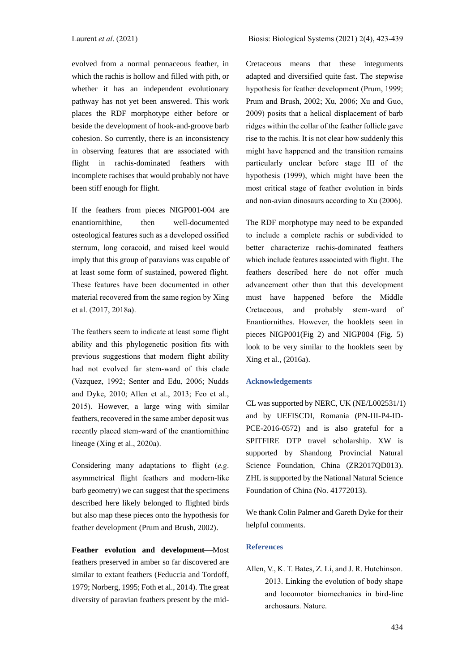evolved from a normal pennaceous feather, in which the rachis is hollow and filled with pith, or whether it has an independent evolutionary pathway has not yet been answered. This work places the RDF morphotype either before or beside the development of hook-and-groove barb cohesion. So currently, there is an inconsistency in observing features that are associated with flight in rachis-dominated feathers with incomplete rachises that would probably not have been stiff enough for flight.

If the feathers from pieces NIGP001-004 are enantiornithine, then well-documented osteological features such as a developed ossified sternum, long coracoid, and raised keel would imply that this group of paravians was capable of at least some form of sustained, powered flight. These features have been documented in other material recovered from the same region by Xing et al. (2017, 2018a).

The feathers seem to indicate at least some flight ability and this phylogenetic position fits with previous suggestions that modern flight ability had not evolved far stem-ward of this clade (Vazquez, 1992; Senter and Edu, 2006; Nudds and Dyke, 2010; Allen et al., 2013; Feo et al., 2015). However, a large wing with similar feathers, recovered in the same amber deposit was recently placed stem-ward of the enantiornithine lineage (Xing et al., 2020a).

Considering many adaptations to flight (*e.g*. asymmetrical flight feathers and modern-like barb geometry) we can suggest that the specimens described here likely belonged to flighted birds but also map these pieces onto the hypothesis for feather development (Prum and Brush, 2002).

**Feather evolution and development—Most** feathers preserved in amber so far discovered are similar to extant feathers (Feduccia and Tordoff, 1979; Norberg, 1995; Foth et al., 2014). The great diversity of paravian feathers present by the midCretaceous means that these integuments adapted and diversified quite fast. The stepwise hypothesis for feather development (Prum, 1999; Prum and Brush, 2002; Xu, 2006; Xu and Guo, 2009) posits that a helical displacement of barb ridges within the collar of the feather follicle gave rise to the rachis. It is not clear how suddenly this might have happened and the transition remains particularly unclear before stage III of the hypothesis (1999), which might have been the most critical stage of feather evolution in birds and non-avian dinosaurs according to Xu (2006).

The RDF morphotype may need to be expanded to include a complete rachis or subdivided to better characterize rachis-dominated feathers which include features associated with flight. The feathers described here do not offer much advancement other than that this development must have happened before the Middle Cretaceous, and probably stem-ward of Enantiornithes. However, the hooklets seen in pieces NIGP001(Fig 2) and NIGP004 (Fig. 5) look to be very similar to the hooklets seen by Xing et al., (2016a).

#### **Acknowledgements**

CL was supported by NERC, UK (NE/L002531/1) and by UEFISCDI, Romania (PN-III-P4-ID-PCE-2016-0572) and is also grateful for a SPITFIRE DTP travel scholarship. XW is supported by Shandong Provincial Natural Science Foundation, China (ZR2017QD013). ZHL is supported by the National Natural Science Foundation of China (No. 41772013).

We thank Colin Palmer and Gareth Dyke for their helpful comments.

# **References**

Allen, V., K. T. Bates, Z. Li, and J. R. Hutchinson. 2013. Linking the evolution of body shape and locomotor biomechanics in bird-line archosaurs. Nature.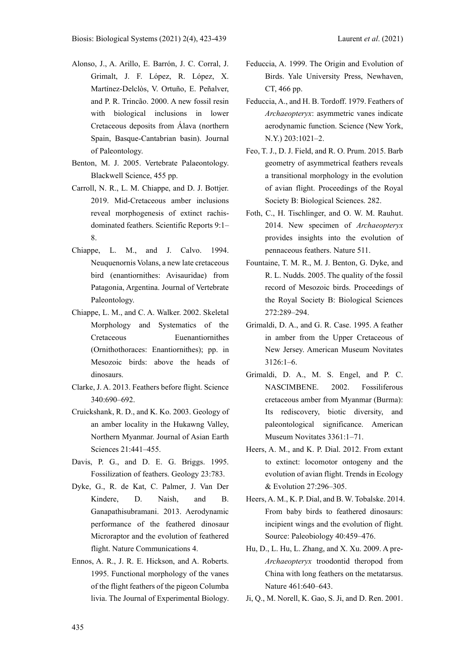- Alonso, J., A. Arillo, E. Barrón, J. C. Corral, J. Grimalt, J. F. López, R. López, X. Martínez-Delclòs, V. Ortuño, E. Peñalver, and P. R. Trincão. 2000. A new fossil resin with biological inclusions in lower Cretaceous deposits from Álava (northern Spain, Basque-Cantabrian basin). Journal of Paleontology.
- Benton, M. J. 2005. Vertebrate Palaeontology. Blackwell Science, 455 pp.
- Carroll, N. R., L. M. Chiappe, and D. J. Bottjer. 2019. Mid-Cretaceous amber inclusions reveal morphogenesis of extinct rachisdominated feathers. Scientific Reports 9:1– 8.
- Chiappe, L. M., and J. Calvo. 1994. Neuquenornis Volans, a new late cretaceous bird (enantiornithes: Avisauridae) from Patagonia, Argentina. Journal of Vertebrate Paleontology.
- Chiappe, L. M., and C. A. Walker. 2002. Skeletal Morphology and Systematics of the Cretaceous Euenantiornithes (Ornithothoraces: Enantiornithes); pp. in Mesozoic birds: above the heads of dinosaurs.
- Clarke, J. A. 2013. Feathers before flight. Science 340:690–692.
- Cruickshank, R. D., and K. Ko. 2003. Geology of an amber locality in the Hukawng Valley, Northern Myanmar. Journal of Asian Earth Sciences 21:441–455.
- Davis, P. G., and D. E. G. Briggs. 1995. Fossilization of feathers. Geology 23:783.
- Dyke, G., R. de Kat, C. Palmer, J. Van Der Kindere, D. Naish, and B. Ganapathisubramani. 2013. Aerodynamic performance of the feathered dinosaur Microraptor and the evolution of feathered flight. Nature Communications 4.
- Ennos, A. R., J. R. E. Hickson, and A. Roberts. 1995. Functional morphology of the vanes of the flight feathers of the pigeon Columba livia. The Journal of Experimental Biology.
- Feduccia, A. 1999. The Origin and Evolution of Birds. Yale University Press, Newhaven, CT, 466 pp.
- Feduccia, A., and H. B. Tordoff. 1979. Feathers of *Archaeopteryx*: asymmetric vanes indicate aerodynamic function. Science (New York, N.Y.) 203:1021–2.
- Feo, T. J., D. J. Field, and R. O. Prum. 2015. Barb geometry of asymmetrical feathers reveals a transitional morphology in the evolution of avian flight. Proceedings of the Royal Society B: Biological Sciences. 282.
- Foth, C., H. Tischlinger, and O. W. M. Rauhut. 2014. New specimen of *Archaeopteryx* provides insights into the evolution of pennaceous feathers. Nature 511.
- Fountaine, T. M. R., M. J. Benton, G. Dyke, and R. L. Nudds. 2005. The quality of the fossil record of Mesozoic birds. Proceedings of the Royal Society B: Biological Sciences 272:289–294.
- Grimaldi, D. A., and G. R. Case. 1995. A feather in amber from the Upper Cretaceous of New Jersey. American Museum Novitates 3126:1–6.
- Grimaldi, D. A., M. S. Engel, and P. C. NASCIMBENE. 2002. Fossiliferous cretaceous amber from Myanmar (Burma): Its rediscovery, biotic diversity, and paleontological significance. American Museum Novitates 3361:1–71.
- Heers, A. M., and K. P. Dial. 2012. From extant to extinct: locomotor ontogeny and the evolution of avian flight. Trends in Ecology & Evolution 27:296–305.
- Heers, A. M., K. P. Dial, and B. W. Tobalske. 2014. From baby birds to feathered dinosaurs: incipient wings and the evolution of flight. Source: Paleobiology 40:459–476.
- Hu, D., L. Hu, L. Zhang, and X. Xu. 2009. A pre-*Archaeopteryx* troodontid theropod from China with long feathers on the metatarsus. Nature 461:640–643.
- Ji, Q., M. Norell, K. Gao, S. Ji, and D. Ren. 2001.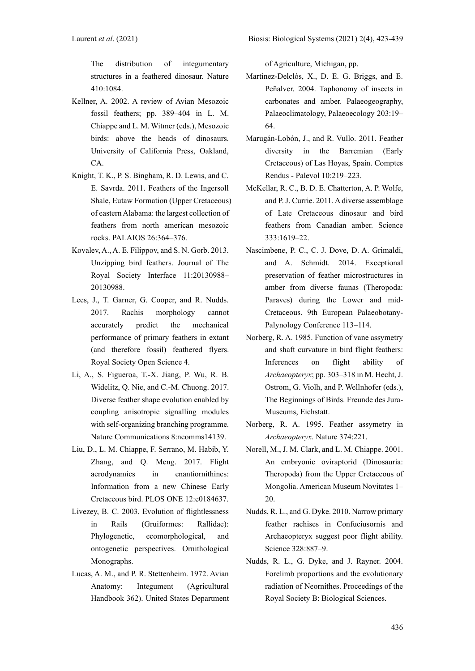The distribution of integumentary structures in a feathered dinosaur. Nature 410:1084.

- Kellner, A. 2002. A review of Avian Mesozoic fossil feathers; pp. 389–404 in L. M. Chiappe and L. M. Witmer (eds.), Mesozoic birds: above the heads of dinosaurs. University of California Press, Oakland, CA.
- Knight, T. K., P. S. Bingham, R. D. Lewis, and C. E. Savrda. 2011. Feathers of the Ingersoll Shale, Eutaw Formation (Upper Cretaceous) of eastern Alabama: the largest collection of feathers from north american mesozoic rocks. PALAIOS 26:364–376.
- Kovalev, A., A. E. Filippov, and S. N. Gorb. 2013. Unzipping bird feathers. Journal of The Royal Society Interface 11:20130988– 20130988.
- Lees, J., T. Garner, G. Cooper, and R. Nudds. 2017. Rachis morphology cannot accurately predict the mechanical performance of primary feathers in extant (and therefore fossil) feathered flyers. Royal Society Open Science 4.
- Li, A., S. Figueroa, T.-X. Jiang, P. Wu, R. B. Widelitz, Q. Nie, and C.-M. Chuong. 2017. Diverse feather shape evolution enabled by coupling anisotropic signalling modules with self-organizing branching programme. Nature Communications 8:ncomms14139.
- Liu, D., L. M. Chiappe, F. Serrano, M. Habib, Y. Zhang, and Q. Meng. 2017. Flight aerodynamics in enantiornithines: Information from a new Chinese Early Cretaceous bird. PLOS ONE 12:e0184637.
- Livezey, B. C. 2003. Evolution of flightlessness in Rails (Gruiformes: Rallidae): Phylogenetic, ecomorphological, and ontogenetic perspectives. Ornithological Monographs.
- Lucas, A. M., and P. R. Stettenheim. 1972. Avian Anatomy: Integument (Agricultural Handbook 362). United States Department

of Agriculture, Michigan, pp.

- Martínez-Delclòs, X., D. E. G. Briggs, and E. Peñalver. 2004. Taphonomy of insects in carbonates and amber. Palaeogeography, Palaeoclimatology, Palaeoecology 203:19– 64.
- Marugán-Lobón, J., and R. Vullo. 2011. Feather diversity in the Barremian (Early Cretaceous) of Las Hoyas, Spain. Comptes Rendus - Palevol 10:219–223.
- McKellar, R. C., B. D. E. Chatterton, A. P. Wolfe, and P. J. Currie. 2011. A diverse assemblage of Late Cretaceous dinosaur and bird feathers from Canadian amber. Science 333:1619–22.
- Nascimbene, P. C., C. J. Dove, D. A. Grimaldi, and A. Schmidt. 2014. Exceptional preservation of feather microstructures in amber from diverse faunas (Theropoda: Paraves) during the Lower and mid-Cretaceous. 9th European Palaeobotany-Palynology Conference 113–114.
- Norberg, R. A. 1985. Function of vane assymetry and shaft curvature in bird flight feathers: Inferences on flight ability of *Archaeopteryx*; pp. 303–318 in M. Hecht, J. Ostrom, G. Violh, and P. Wellnhofer (eds.), The Beginnings of Birds. Freunde des Jura-Museums, Eichstatt.
- Norberg, R. A. 1995. Feather assymetry in *Archaeopteryx*. Nature 374:221.
- Norell, M., J. M. Clark, and L. M. Chiappe. 2001. An embryonic oviraptorid (Dinosauria: Theropoda) from the Upper Cretaceous of Mongolia. American Museum Novitates 1– 20.
- Nudds, R. L., and G. Dyke. 2010. Narrow primary feather rachises in Confuciusornis and Archaeopteryx suggest poor flight ability. Science 328:887–9.
- Nudds, R. L., G. Dyke, and J. Rayner. 2004. Forelimb proportions and the evolutionary radiation of Neornithes. Proceedings of the Royal Society B: Biological Sciences.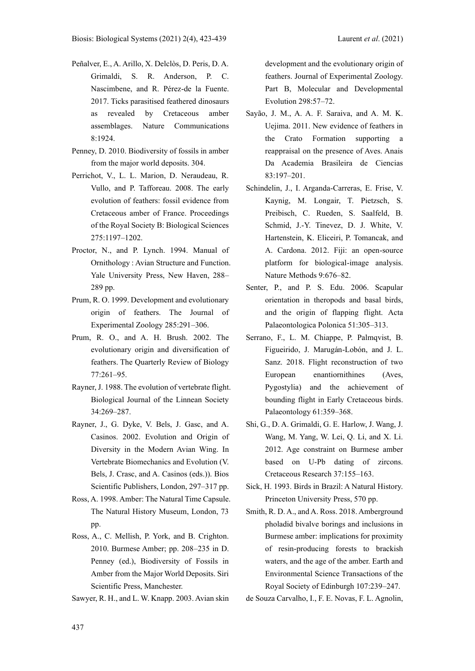- Peñalver, E., A. Arillo, X. Delclòs, D. Peris, D. A. Grimaldi, S. R. Anderson, P. C. Nascimbene, and R. Pérez-de la Fuente. 2017. Ticks parasitised feathered dinosaurs as revealed by Cretaceous amber assemblages. Nature Communications 8:1924.
- Penney, D. 2010. Biodiversity of fossils in amber from the major world deposits. 304.
- Perrichot, V., L. L. Marion, D. Neraudeau, R. Vullo, and P. Tafforeau. 2008. The early evolution of feathers: fossil evidence from Cretaceous amber of France. Proceedings of the Royal Society B: Biological Sciences 275:1197–1202.
- Proctor, N., and P. Lynch. 1994. Manual of Ornithology : Avian Structure and Function. Yale University Press, New Haven, 288– 289 pp.
- Prum, R. O. 1999. Development and evolutionary origin of feathers. The Journal of Experimental Zoology 285:291–306.
- Prum, R. O., and A. H. Brush. 2002. The evolutionary origin and diversification of feathers. The Quarterly Review of Biology 77:261–95.
- Rayner, J. 1988. The evolution of vertebrate flight. Biological Journal of the Linnean Society 34:269–287.
- Rayner, J., G. Dyke, V. Bels, J. Gasc, and A. Casinos. 2002. Evolution and Origin of Diversity in the Modern Avian Wing. In Vertebrate Biomechanics and Evolution (V. Bels, J. Crasc, and A. Casinos (eds.)). Bios Scientific Publishers, London, 297–317 pp.
- Ross, A. 1998. Amber: The Natural Time Capsule. The Natural History Museum, London, 73 pp.
- Ross, A., C. Mellish, P. York, and B. Crighton. 2010. Burmese Amber; pp. 208–235 in D. Penney (ed.), Biodiversity of Fossils in Amber from the Major World Deposits. Siri Scientific Press, Manchester.
- Sawyer, R. H., and L. W. Knapp. 2003. Avian skin

development and the evolutionary origin of feathers. Journal of Experimental Zoology. Part B, Molecular and Developmental Evolution 298:57–72.

- Sayão, J. M., A. A. F. Saraiva, and A. M. K. Uejima. 2011. New evidence of feathers in the Crato Formation supporting a reappraisal on the presence of Aves. Anais Da Academia Brasileira de Ciencias 83:197–201.
- Schindelin, J., I. Arganda-Carreras, E. Frise, V. Kaynig, M. Longair, T. Pietzsch, S. Preibisch, C. Rueden, S. Saalfeld, B. Schmid, J.-Y. Tinevez, D. J. White, V. Hartenstein, K. Eliceiri, P. Tomancak, and A. Cardona. 2012. Fiji: an open-source platform for biological-image analysis. Nature Methods 9:676–82.
- Senter, P., and P. S. Edu. 2006. Scapular orientation in theropods and basal birds, and the origin of flapping flight. Acta Palaeontologica Polonica 51:305–313.
- Serrano, F., L. M. Chiappe, P. Palmqvist, B. Figueirido, J. Marugán-Lobón, and J. L. Sanz. 2018. Flight reconstruction of two European enantiornithines (Aves, Pygostylia) and the achievement of bounding flight in Early Cretaceous birds. Palaeontology 61:359–368.
- Shi, G., D. A. Grimaldi, G. E. Harlow, J. Wang, J. Wang, M. Yang, W. Lei, Q. Li, and X. Li. 2012. Age constraint on Burmese amber based on U-Pb dating of zircons. Cretaceous Research 37:155–163.
- Sick, H. 1993. Birds in Brazil: A Natural History. Princeton University Press, 570 pp.
- Smith, R. D. A., and A. Ross. 2018. Amberground pholadid bivalve borings and inclusions in Burmese amber: implications for proximity of resin-producing forests to brackish waters, and the age of the amber. Earth and Environmental Science Transactions of the Royal Society of Edinburgh 107:239–247.

de Souza Carvalho, I., F. E. Novas, F. L. Agnolin,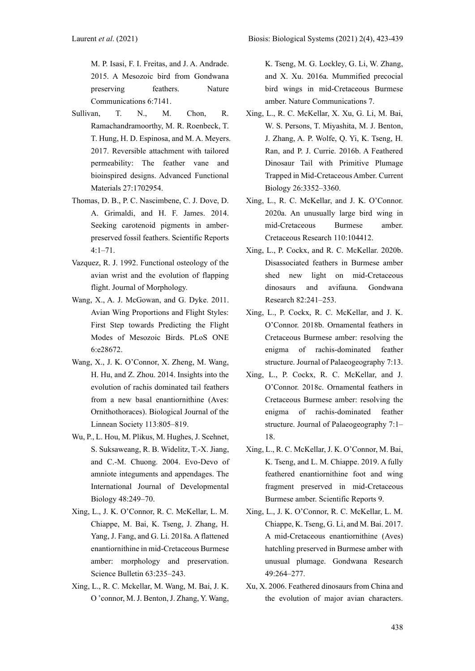M. P. Isasi, F. I. Freitas, and J. A. Andrade. 2015. A Mesozoic bird from Gondwana preserving feathers. Nature Communications 6:7141.

- Sullivan, T. N., M. Chon, R. Ramachandramoorthy, M. R. Roenbeck, T. T. Hung, H. D. Espinosa, and M. A. Meyers. 2017. Reversible attachment with tailored permeability: The feather vane and bioinspired designs. Advanced Functional Materials 27:1702954.
- Thomas, D. B., P. C. Nascimbene, C. J. Dove, D. A. Grimaldi, and H. F. James. 2014. Seeking carotenoid pigments in amberpreserved fossil feathers. Scientific Reports 4:1–71.
- Vazquez, R. J. 1992. Functional osteology of the avian wrist and the evolution of flapping flight. Journal of Morphology.
- Wang, X., A. J. McGowan, and G. Dyke. 2011. Avian Wing Proportions and Flight Styles: First Step towards Predicting the Flight Modes of Mesozoic Birds. PLoS ONE 6:e28672.
- Wang, X., J. K. O'Connor, X. Zheng, M. Wang, H. Hu, and Z. Zhou. 2014. Insights into the evolution of rachis dominated tail feathers from a new basal enantiornithine (Aves: Ornithothoraces). Biological Journal of the Linnean Society 113:805–819.
- Wu, P., L. Hou, M. Plikus, M. Hughes, J. Scehnet, S. Suksaweang, R. B. Widelitz, T.-X. Jiang, and C.-M. Chuong. 2004. Evo-Devo of amniote integuments and appendages. The International Journal of Developmental Biology 48:249–70.
- Xing, L., J. K. O'Connor, R. C. McKellar, L. M. Chiappe, M. Bai, K. Tseng, J. Zhang, H. Yang, J. Fang, and G. Li. 2018a. A flattened enantiornithine in mid-Cretaceous Burmese amber: morphology and preservation. Science Bulletin 63:235–243.
- Xing, L., R. C. Mckellar, M. Wang, M. Bai, J. K. O 'connor, M. J. Benton, J. Zhang, Y. Wang,

K. Tseng, M. G. Lockley, G. Li, W. Zhang, and X. Xu. 2016a. Mummified precocial bird wings in mid-Cretaceous Burmese amber. Nature Communications 7.

- Xing, L., R. C. McKellar, X. Xu, G. Li, M. Bai, W. S. Persons, T. Miyashita, M. J. Benton, J. Zhang, A. P. Wolfe, Q. Yi, K. Tseng, H. Ran, and P. J. Currie. 2016b. A Feathered Dinosaur Tail with Primitive Plumage Trapped in Mid-Cretaceous Amber. Current Biology 26:3352–3360.
- Xing, L., R. C. McKellar, and J. K. O'Connor. 2020a. An unusually large bird wing in mid-Cretaceous Burmese amber. Cretaceous Research 110:104412.
- Xing, L., P. Cockx, and R. C. McKellar. 2020b. Disassociated feathers in Burmese amber shed new light on mid-Cretaceous dinosaurs and avifauna. Gondwana Research 82:241–253.
- Xing, L., P. Cockx, R. C. McKellar, and J. K. O'Connor. 2018b. Ornamental feathers in Cretaceous Burmese amber: resolving the enigma of rachis-dominated feather structure. Journal of Palaeogeography 7:13.
- Xing, L., P. Cockx, R. C. McKellar, and J. O'Connor. 2018c. Ornamental feathers in Cretaceous Burmese amber: resolving the enigma of rachis-dominated feather structure. Journal of Palaeogeography 7:1– 18.
- Xing, L., R. C. McKellar, J. K. O'Connor, M. Bai, K. Tseng, and L. M. Chiappe. 2019. A fully feathered enantiornithine foot and wing fragment preserved in mid-Cretaceous Burmese amber. Scientific Reports 9.
- Xing, L., J. K. O'Connor, R. C. McKellar, L. M. Chiappe, K. Tseng, G. Li, and M. Bai. 2017. A mid-Cretaceous enantiornithine (Aves) hatchling preserved in Burmese amber with unusual plumage. Gondwana Research 49:264–277.
- Xu, X. 2006. Feathered dinosaurs from China and the evolution of major avian characters.